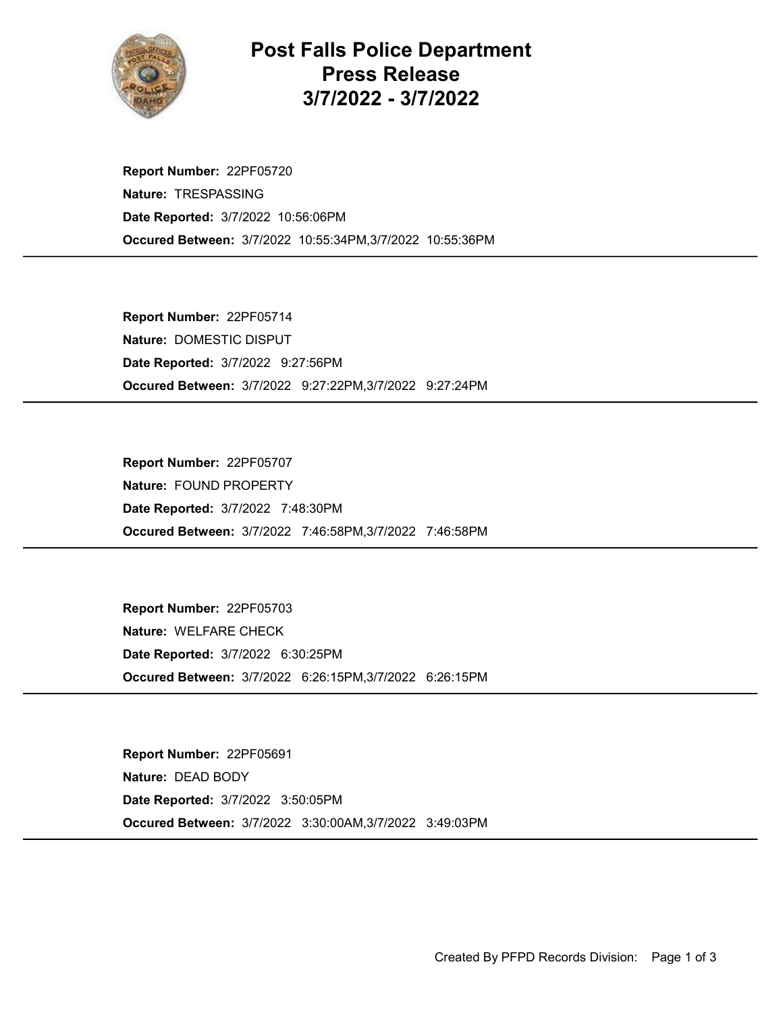

Post Falls Police Department Press Release 3/7/2022 - 3/7/2022

Occured Between: 3/7/2022 10:55:34PM,3/7/2022 10:55:36PM Report Number: 22PF05720 Nature: TRESPASSING Date Reported: 3/7/2022 10:56:06PM

Occured Between: 3/7/2022 9:27:22PM,3/7/2022 9:27:24PM Report Number: 22PF05714 Nature: DOMESTIC DISPUT Date Reported: 3/7/2022 9:27:56PM

Occured Between: 3/7/2022 7:46:58PM,3/7/2022 7:46:58PM Report Number: 22PF05707 Nature: FOUND PROPERTY Date Reported: 3/7/2022 7:48:30PM

Occured Between: 3/7/2022 6:26:15PM,3/7/2022 6:26:15PM Report Number: 22PF05703 Nature: WELFARE CHECK Date Reported: 3/7/2022 6:30:25PM

Occured Between: 3/7/2022 3:30:00AM,3/7/2022 3:49:03PM Report Number: 22PF05691 Nature: DEAD BODY Date Reported: 3/7/2022 3:50:05PM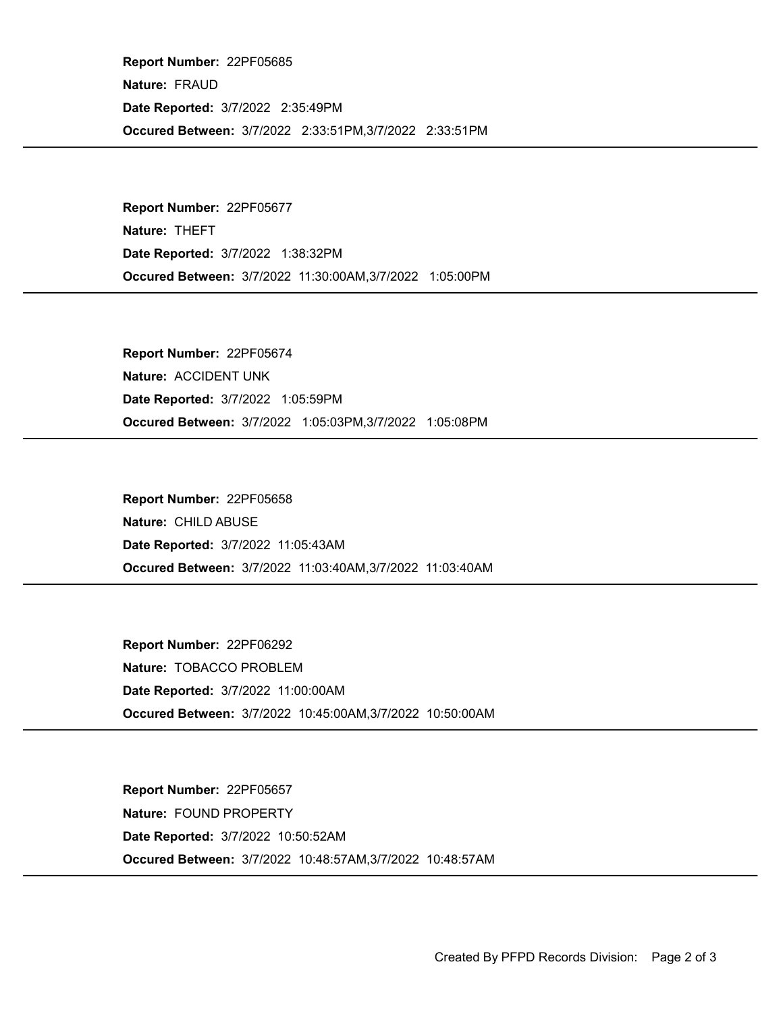Occured Between: 3/7/2022 2:33:51PM,3/7/2022 2:33:51PM Report Number: 22PF05685 Nature: FRAUD Date Reported: 3/7/2022 2:35:49PM

Occured Between: 3/7/2022 11:30:00AM,3/7/2022 1:05:00PM Report Number: 22PF05677 Nature: THEFT Date Reported: 3/7/2022 1:38:32PM

Occured Between: 3/7/2022 1:05:03PM,3/7/2022 1:05:08PM Report Number: 22PF05674 Nature: ACCIDENT UNK Date Reported: 3/7/2022 1:05:59PM

Occured Between: 3/7/2022 11:03:40AM,3/7/2022 11:03:40AM Report Number: 22PF05658 Nature: CHILD ABUSE Date Reported: 3/7/2022 11:05:43AM

Occured Between: 3/7/2022 10:45:00AM,3/7/2022 10:50:00AM Report Number: 22PF06292 Nature: TOBACCO PROBLEM Date Reported: 3/7/2022 11:00:00AM

Occured Between: 3/7/2022 10:48:57AM,3/7/2022 10:48:57AM Report Number: 22PF05657 Nature: FOUND PROPERTY Date Reported: 3/7/2022 10:50:52AM